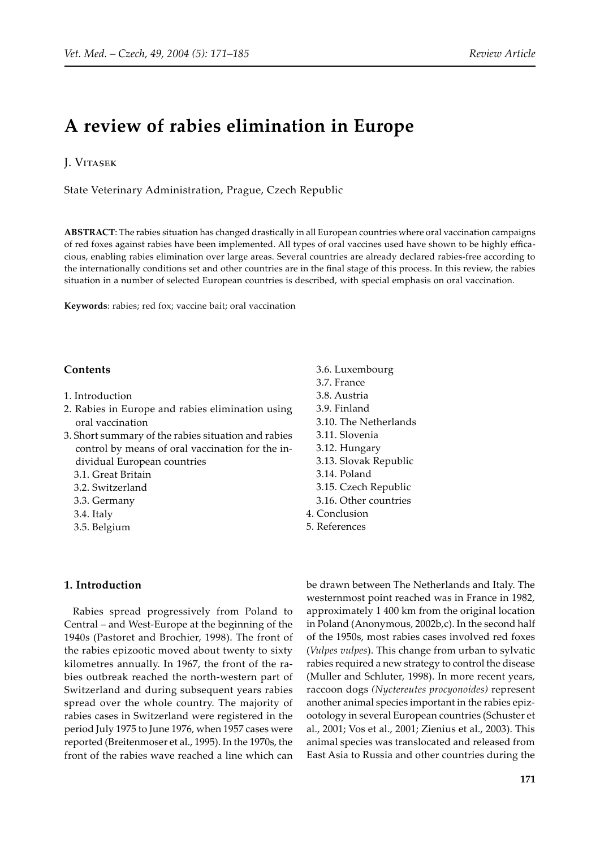## **A review of rabies elimination in Europe**

## J. VITASEK

State Veterinary Administration, Prague, Czech Republic

**ABSTRACT**: The rabies situation has changed drastically in all European countries where oral vaccination campaigns of red foxes against rabies have been implemented. All types of oral vaccines used have shown to be highly efficacious, enabling rabies elimination over large areas. Several countries are already declared rabies-free according to the internationally conditions set and other countries are in the final stage of this process. In this review, the rabies situation in a number of selected European countries is described, with special emphasis on oral vaccination.

**Keywords**: rabies; red fox; vaccine bait; oral vaccination

## **Contents**

- 1. Introduction
- 2. Rabies in Europe and rabies elimination using oral vaccination
- 3. Short summary of the rabies situation and rabies control by means of oral vaccination for the individual European countries
	- 3.1. Great Britain
	- 3.2. Switzerland
	- 3.3. Germany
	- 3.4. Italy
	- 3.5. Belgium

## **1. Introduction**

Rabies spread progressively from Poland to Central – and West-Europe at the beginning of the 1940s (Pastoret and Brochier, 1998). The front of the rabies epizootic moved about twenty to sixty kilometres annually. In 1967, the front of the rabies outbreak reached the north-western part of Switzerland and during subsequent years rabies spread over the whole country. The majority of rabies cases in Switzerland were registered in the period July 1975 to June 1976, when 1957 cases were reported (Breitenmoser et al., 1995). In the 1970s, the front of the rabies wave reached a line which can

- 3.6. Luxembourg 3.7. France 3.8. Austria 3.9. Finland 3.10. The Netherlands 3.11. Slovenia 3.12. Hungary 3.13. Slovak Republic 3.14. Poland 3.15. Czech Republic 3.16. Other countries 4. Conclusion
- 5. References

be drawn between The Netherlands and Italy. The westernmost point reached was in France in 1982, approximately 1 400 km from the original location in Poland (Anonymous, 2002b,c). In the second half of the 1950s, most rabies cases involved red foxes (*Vulpes vulpes*). This change from urban to sylvatic rabies required a new strategy to control the disease (Muller and Schluter, 1998). In more recent years, raccoon dogs *(Nyctereutes procyonoides)* represent another animal species important in the rabies epizootology in several European countries (Schuster et al., 2001; Vos et al., 2001; Zienius et al., 2003). This animal species was translocated and released from East Asia to Russia and other countries during the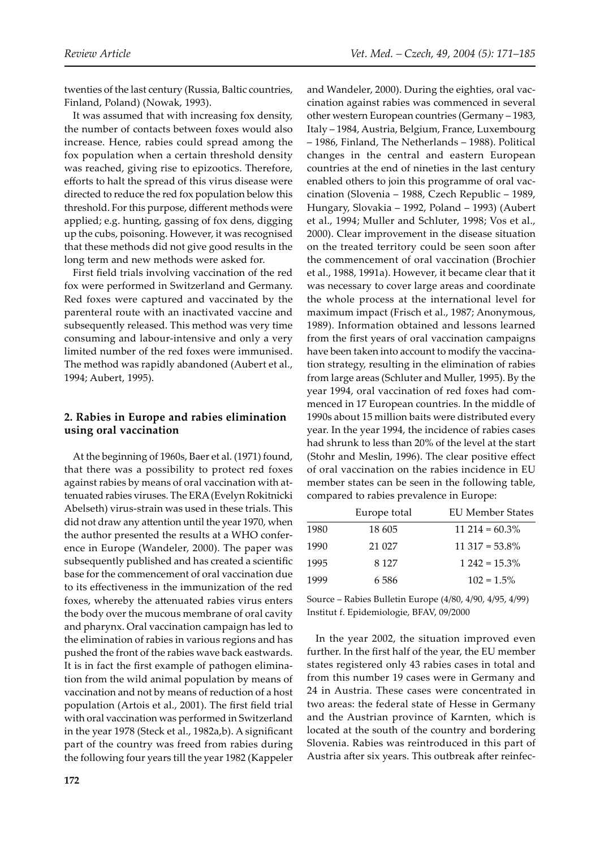twenties of the last century (Russia, Baltic countries, Finland, Poland) (Nowak, 1993).

It was assumed that with increasing fox density, the number of contacts between foxes would also increase. Hence, rabies could spread among the fox population when a certain threshold density was reached, giving rise to epizootics. Therefore, efforts to halt the spread of this virus disease were directed to reduce the red fox population below this threshold. For this purpose, different methods were applied; e.g. hunting, gassing of fox dens, digging up the cubs, poisoning. However, it was recognised that these methods did not give good results in the long term and new methods were asked for.

First field trials involving vaccination of the red fox were performed in Switzerland and Germany. Red foxes were captured and vaccinated by the parenteral route with an inactivated vaccine and subsequently released. This method was very time consuming and labour-intensive and only a very limited number of the red foxes were immunised. The method was rapidly abandoned (Aubert et al., 1994; Aubert, 1995).

## **2. Rabies in Europe and rabies elimination using oral vaccination**

At the beginning of 1960s, Baer et al. (1971) found, that there was a possibility to protect red foxes against rabies by means of oral vaccination with attenuated rabies viruses. The ERA (Evelyn Rokitnicki Abelseth) virus-strain was used in these trials. This did not draw any attention until the year 1970, when the author presented the results at a WHO conference in Europe (Wandeler, 2000). The paper was subsequently published and has created a scientific base for the commencement of oral vaccination due to its effectiveness in the immunization of the red foxes, whereby the attenuated rabies virus enters the body over the mucous membrane of oral cavity and pharynx. Oral vaccination campaign has led to the elimination of rabies in various regions and has pushed the front of the rabies wave back eastwards. It is in fact the first example of pathogen elimination from the wild animal population by means of vaccination and not by means of reduction of a host population (Artois et al., 2001). The first field trial with oral vaccination was performed in Switzerland in the year 1978 (Steck et al., 1982a,b). A significant part of the country was freed from rabies during the following four years till the year 1982 (Kappeler

and Wandeler, 2000). During the eighties, oral vaccination against rabies was commenced in several other western European countries (Germany – 1983, Italy – 1984, Austria, Belgium, France, Luxembourg – 1986, Finland, The Netherlands – 1988). Political changes in the central and eastern European countries at the end of nineties in the last century enabled others to join this programme of oral vaccination (Slovenia – 1988, Czech Republic – 1989, Hungary, Slovakia – 1992, Poland – 1993) (Aubert et al., 1994; Muller and Schluter, 1998; Vos et al., 2000). Clear improvement in the disease situation on the treated territory could be seen soon after the commencement of oral vaccination (Brochier et al., 1988, 1991a). However, it became clear that it was necessary to cover large areas and coordinate the whole process at the international level for maximum impact (Frisch et al., 1987; Anonymous, 1989). Information obtained and lessons learned from the first years of oral vaccination campaigns have been taken into account to modify the vaccination strategy, resulting in the elimination of rabies from large areas (Schluter and Muller, 1995). By the year 1994, oral vaccination of red foxes had commenced in 17 European countries. In the middle of 1990s about 15 million baits were distributed every year. In the year 1994, the incidence of rabies cases had shrunk to less than 20% of the level at the start (Stohr and Meslin, 1996). The clear positive effect of oral vaccination on the rabies incidence in EU member states can be seen in the following table, compared to rabies prevalence in Europe:

|      | Europe total | <b>EU Member States</b> |
|------|--------------|-------------------------|
| 1980 | 18 605       | $11\,214 = 60.3\%$      |
| 1990 | 21 0 27      | $11.317 = 53.8\%$       |
| 1995 | 8 1 2 7      | $1242 = 15.3\%$         |
| 1999 | 6.586        | $102 = 1.5\%$           |

Source – Rabies Bulletin Europe (4/80, 4/90, 4/95, 4/99) Institut f. Epidemiologie, BFAV, 09/2000

In the year 2002, the situation improved even further. In the first half of the year, the EU member states registered only 43 rabies cases in total and from this number 19 cases were in Germany and 24 in Austria. These cases were concentrated in two areas: the federal state of Hesse in Germany and the Austrian province of Karnten, which is located at the south of the country and bordering Slovenia. Rabies was reintroduced in this part of Austria after six years. This outbreak after reinfec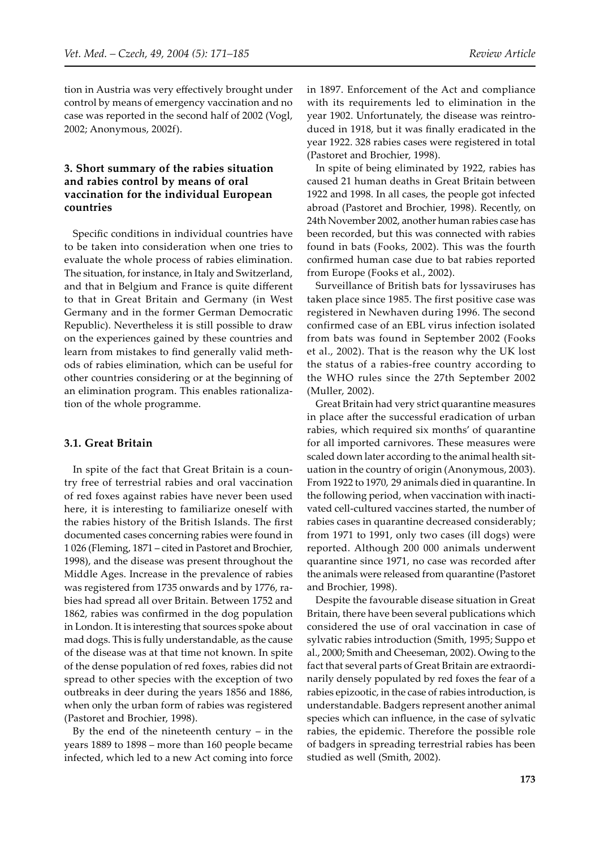tion in Austria was very effectively brought under control by means of emergency vaccination and no case was reported in the second half of 2002 (Vogl, 2002; Anonymous, 2002f).

## **3. Short summary of the rabies situation and rabies control by means of oral vaccination for the individual European countries**

Specific conditions in individual countries have to be taken into consideration when one tries to evaluate the whole process of rabies elimination. The situation, for instance, in Italy and Switzerland, and that in Belgium and France is quite different to that in Great Britain and Germany (in West Germany and in the former German Democratic Republic). Nevertheless it is still possible to draw on the experiences gained by these countries and learn from mistakes to find generally valid methods of rabies elimination, which can be useful for other countries considering or at the beginning of an elimination program. This enables rationalization of the whole programme.

#### **3.1. Great Britain**

In spite of the fact that Great Britain is a country free of terrestrial rabies and oral vaccination of red foxes against rabies have never been used here, it is interesting to familiarize oneself with the rabies history of the British Islands. The first documented cases concerning rabies were found in 1 026 (Fleming, 1871 – cited in Pastoret and Brochier, 1998), and the disease was present throughout the Middle Ages. Increase in the prevalence of rabies was registered from 1735 onwards and by 1776, rabies had spread all over Britain. Between 1752 and 1862, rabies was confirmed in the dog population in London. It is interesting that sources spoke about mad dogs. This is fully understandable, as the cause of the disease was at that time not known. In spite of the dense population of red foxes, rabies did not spread to other species with the exception of two outbreaks in deer during the years 1856 and 1886, when only the urban form of rabies was registered (Pastoret and Brochier, 1998).

By the end of the nineteenth century – in the years 1889 to 1898 – more than 160 people became infected, which led to a new Act coming into force in 1897. Enforcement of the Act and compliance with its requirements led to elimination in the year 1902. Unfortunately, the disease was reintroduced in 1918, but it was finally eradicated in the year 1922. 328 rabies cases were registered in total (Pastoret and Brochier, 1998).

In spite of being eliminated by 1922, rabies has caused 21 human deaths in Great Britain between 1922 and 1998. In all cases, the people got infected abroad (Pastoret and Brochier, 1998). Recently, on 24th November 2002, another human rabies case has been recorded, but this was connected with rabies found in bats (Fooks, 2002). This was the fourth confirmed human case due to bat rabies reported from Europe (Fooks et al., 2002).

Surveillance of British bats for lyssaviruses has taken place since 1985. The first positive case was registered in Newhaven during 1996. The second confirmed case of an EBL virus infection isolated from bats was found in September 2002 (Fooks et al., 2002). That is the reason why the UK lost the status of a rabies-free country according to the WHO rules since the 27th September 2002 (Muller, 2002).

Great Britain had very strict quarantine measures in place after the successful eradication of urban rabies, which required six months' of quarantine for all imported carnivores. These measures were scaled down later according to the animal health situation in the country of origin (Anonymous, 2003). From 1922 to 1970, 29 animals died in quarantine. In the following period, when vaccination with inactivated cell-cultured vaccines started, the number of rabies cases in quarantine decreased considerably; from 1971 to 1991, only two cases (ill dogs) were reported. Although 200 000 animals underwent quarantine since 1971, no case was recorded a�er the animals were released from quarantine (Pastoret and Brochier, 1998).

Despite the favourable disease situation in Great Britain, there have been several publications which considered the use of oral vaccination in case of sylvatic rabies introduction (Smith, 1995; Suppo et al., 2000; Smith and Cheeseman, 2002). Owing to the fact that several parts of Great Britain are extraordinarily densely populated by red foxes the fear of a rabies epizootic, in the case of rabies introduction, is understandable. Badgers represent another animal species which can influence, in the case of sylvatic rabies, the epidemic. Therefore the possible role of badgers in spreading terrestrial rabies has been studied as well (Smith, 2002).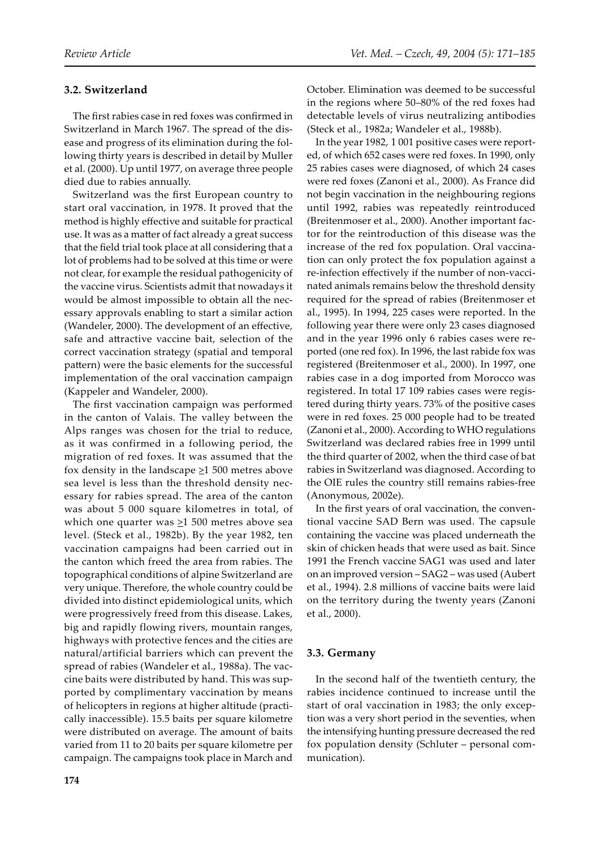## **3.2. Switzerland**

The first rabies case in red foxes was confirmed in Switzerland in March 1967. The spread of the disease and progress of its elimination during the following thirty years is described in detail by Muller et al. (2000). Up until 1977, on average three people died due to rabies annually.

Switzerland was the first European country to start oral vaccination, in 1978. It proved that the method is highly effective and suitable for practical use. It was as a matter of fact already a great success that the field trial took place at all considering that a lot of problems had to be solved at this time or were not clear, for example the residual pathogenicity of the vaccine virus. Scientists admit that nowadays it would be almost impossible to obtain all the necessary approvals enabling to start a similar action (Wandeler, 2000). The development of an effective, safe and attractive vaccine bait, selection of the correct vaccination strategy (spatial and temporal pattern) were the basic elements for the successful implementation of the oral vaccination campaign (Kappeler and Wandeler, 2000).

The first vaccination campaign was performed in the canton of Valais. The valley between the Alps ranges was chosen for the trial to reduce, as it was confirmed in a following period, the migration of red foxes. It was assumed that the fox density in the landscape  $\geq$ 1 500 metres above sea level is less than the threshold density necessary for rabies spread. The area of the canton was about 5 000 square kilometres in total, of which one quarter was  $\geq$ 1 500 metres above sea level. (Steck et al., 1982b). By the year 1982, ten vaccination campaigns had been carried out in the canton which freed the area from rabies. The topographical conditions of alpine Switzerland are very unique. Therefore, the whole country could be divided into distinct epidemiological units, which were progressively freed from this disease. Lakes, big and rapidly flowing rivers, mountain ranges, highways with protective fences and the cities are natural/artificial barriers which can prevent the spread of rabies (Wandeler et al., 1988a). The vaccine baits were distributed by hand. This was supported by complimentary vaccination by means of helicopters in regions at higher altitude (practically inaccessible). 15.5 baits per square kilometre were distributed on average. The amount of baits varied from 11 to 20 baits per square kilometre per campaign. The campaigns took place in March and

October. Elimination was deemed to be successful in the regions where 50–80% of the red foxes had detectable levels of virus neutralizing antibodies (Steck et al., 1982a; Wandeler et al., 1988b).

In the year 1982, 1 001 positive cases were reported, of which 652 cases were red foxes. In 1990, only 25 rabies cases were diagnosed, of which 24 cases were red foxes (Zanoni et al., 2000). As France did not begin vaccination in the neighbouring regions until 1992, rabies was repeatedly reintroduced (Breitenmoser et al., 2000). Another important factor for the reintroduction of this disease was the increase of the red fox population. Oral vaccination can only protect the fox population against a re-infection effectively if the number of non-vaccinated animals remains below the threshold density required for the spread of rabies (Breitenmoser et al., 1995). In 1994, 225 cases were reported. In the following year there were only 23 cases diagnosed and in the year 1996 only 6 rabies cases were reported (one red fox). In 1996, the last rabide fox was registered (Breitenmoser et al., 2000). In 1997, one rabies case in a dog imported from Morocco was registered. In total 17 109 rabies cases were registered during thirty years. 73% of the positive cases were in red foxes. 25 000 people had to be treated (Zanoni et al., 2000). According to WHO regulations Switzerland was declared rabies free in 1999 until the third quarter of 2002, when the third case of bat rabies in Switzerland was diagnosed. According to the OIE rules the country still remains rabies-free (Anonymous, 2002e).

In the first years of oral vaccination, the conventional vaccine SAD Bern was used. The capsule containing the vaccine was placed underneath the skin of chicken heads that were used as bait. Since 1991 the French vaccine SAG1 was used and later on an improved version – SAG2 – was used (Aubert et al., 1994). 2.8 millions of vaccine baits were laid on the territory during the twenty years (Zanoni et al., 2000).

## **3.3. Germany**

In the second half of the twentieth century, the rabies incidence continued to increase until the start of oral vaccination in 1983; the only exception was a very short period in the seventies, when the intensifying hunting pressure decreased the red fox population density (Schluter – personal communication).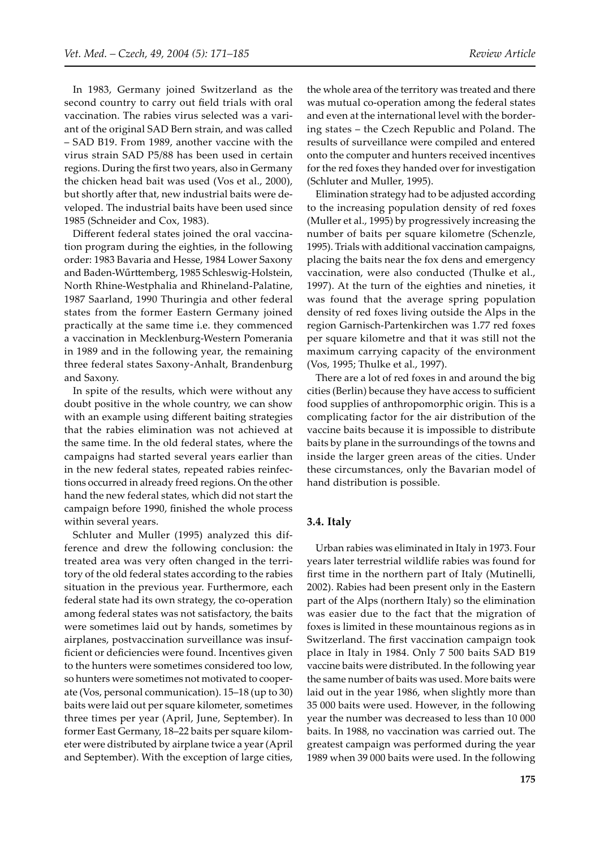In 1983, Germany joined Switzerland as the second country to carry out field trials with oral vaccination. The rabies virus selected was a variant of the original SAD Bern strain, and was called – SAD B19. From 1989, another vaccine with the virus strain SAD P5/88 has been used in certain regions. During the first two years, also in Germany the chicken head bait was used (Vos et al., 2000), but shortly after that, new industrial baits were developed. The industrial baits have been used since 1985 (Schneider and Cox, 1983).

Different federal states joined the oral vaccination program during the eighties, in the following order: 1983 Bavaria and Hesse, 1984 Lower Saxony and Baden-Wűrttemberg, 1985 Schleswig-Holstein, North Rhine-Westphalia and Rhineland-Palatine, 1987 Saarland, 1990 Thuringia and other federal states from the former Eastern Germany joined practically at the same time i.e. they commenced a vaccination in Mecklenburg-Western Pomerania in 1989 and in the following year, the remaining three federal states Saxony-Anhalt, Brandenburg and Saxony.

In spite of the results, which were without any doubt positive in the whole country, we can show with an example using different baiting strategies that the rabies elimination was not achieved at the same time. In the old federal states, where the campaigns had started several years earlier than in the new federal states, repeated rabies reinfections occurred in already freed regions. On the other hand the new federal states, which did not start the campaign before 1990, finished the whole process within several years.

Schluter and Muller (1995) analyzed this difference and drew the following conclusion: the treated area was very often changed in the territory of the old federal states according to the rabies situation in the previous year. Furthermore, each federal state had its own strategy, the co-operation among federal states was not satisfactory, the baits were sometimes laid out by hands, sometimes by airplanes, postvaccination surveillance was insufficient or deficiencies were found. Incentives given to the hunters were sometimes considered too low, so hunters were sometimes not motivated to cooperate (Vos, personal communication). 15–18 (up to 30) baits were laid out per square kilometer, sometimes three times per year (April, June, September). In former East Germany, 18–22 baits per square kilometer were distributed by airplane twice a year (April and September). With the exception of large cities,

the whole area of the territory was treated and there was mutual co-operation among the federal states and even at the international level with the bordering states – the Czech Republic and Poland. The results of surveillance were compiled and entered onto the computer and hunters received incentives for the red foxes they handed over for investigation (Schluter and Muller, 1995).

Elimination strategy had to be adjusted according to the increasing population density of red foxes (Muller et al., 1995) by progressively increasing the number of baits per square kilometre (Schenzle, 1995). Trials with additional vaccination campaigns, placing the baits near the fox dens and emergency vaccination, were also conducted (Thulke et al., 1997). At the turn of the eighties and nineties, it was found that the average spring population density of red foxes living outside the Alps in the region Garnisch-Partenkirchen was 1.77 red foxes per square kilometre and that it was still not the maximum carrying capacity of the environment (Vos, 1995; Thulke et al., 1997).

There are a lot of red foxes in and around the big cities (Berlin) because they have access to sufficient food supplies of anthropomorphic origin. This is a complicating factor for the air distribution of the vaccine baits because it is impossible to distribute baits by plane in the surroundings of the towns and inside the larger green areas of the cities. Under these circumstances, only the Bavarian model of hand distribution is possible.

#### **3.4. Italy**

Urban rabies was eliminated in Italy in 1973. Four years later terrestrial wildlife rabies was found for first time in the northern part of Italy (Mutinelli, 2002). Rabies had been present only in the Eastern part of the Alps (northern Italy) so the elimination was easier due to the fact that the migration of foxes is limited in these mountainous regions as in Switzerland. The first vaccination campaign took place in Italy in 1984. Only 7 500 baits SAD B19 vaccine baits were distributed. In the following year the same number of baits was used. More baits were laid out in the year 1986, when slightly more than 35 000 baits were used. However, in the following year the number was decreased to less than 10 000 baits. In 1988, no vaccination was carried out. The greatest campaign was performed during the year 1989 when 39 000 baits were used. In the following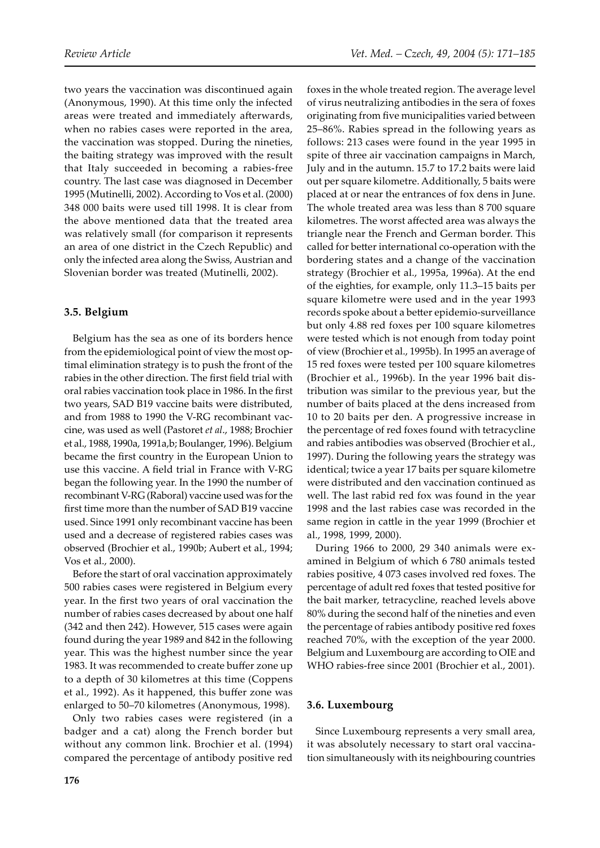two years the vaccination was discontinued again (Anonymous, 1990). At this time only the infected areas were treated and immediately afterwards, when no rabies cases were reported in the area, the vaccination was stopped. During the nineties, the baiting strategy was improved with the result that Italy succeeded in becoming a rabies-free country. The last case was diagnosed in December 1995 (Mutinelli, 2002). According to Vos et al. (2000) 348 000 baits were used till 1998. It is clear from the above mentioned data that the treated area was relatively small (for comparison it represents an area of one district in the Czech Republic) and only the infected area along the Swiss, Austrian and Slovenian border was treated (Mutinelli, 2002).

## **3.5. Belgium**

Belgium has the sea as one of its borders hence from the epidemiological point of view the most optimal elimination strategy is to push the front of the rabies in the other direction. The first field trial with oral rabies vaccination took place in 1986. In the first two years, SAD B19 vaccine baits were distributed, and from 1988 to 1990 the V-RG recombinant vaccine, was used as well (Pastoret *et al*., 1988; Brochier et al., 1988, 1990a, 1991a,b; Boulanger, 1996). Belgium became the first country in the European Union to use this vaccine. A field trial in France with V-RG began the following year. In the 1990 the number of recombinant V-RG (Raboral) vaccine used was for the first time more than the number of SAD B19 vaccine used. Since 1991 only recombinant vaccine has been used and a decrease of registered rabies cases was observed (Brochier et al., 1990b; Aubert et al., 1994; Vos et al., 2000).

Before the start of oral vaccination approximately 500 rabies cases were registered in Belgium every year. In the first two years of oral vaccination the number of rabies cases decreased by about one half (342 and then 242). However, 515 cases were again found during the year 1989 and 842 in the following year. This was the highest number since the year 1983. It was recommended to create buffer zone up to a depth of 30 kilometres at this time (Coppens et al., 1992). As it happened, this buffer zone was enlarged to 50–70 kilometres (Anonymous, 1998).

Only two rabies cases were registered (in a badger and a cat) along the French border but without any common link. Brochier et al. (1994) compared the percentage of antibody positive red foxes in the whole treated region. The average level of virus neutralizing antibodies in the sera of foxes originating from five municipalities varied between 25–86%. Rabies spread in the following years as follows: 213 cases were found in the year 1995 in spite of three air vaccination campaigns in March, July and in the autumn. 15.7 to 17.2 baits were laid out per square kilometre. Additionally, 5 baits were placed at or near the entrances of fox dens in June. The whole treated area was less than 8 700 square kilometres. The worst affected area was always the triangle near the French and German border. This called for better international co-operation with the bordering states and a change of the vaccination strategy (Brochier et al., 1995a, 1996a). At the end of the eighties, for example, only 11.3–15 baits per square kilometre were used and in the year 1993 records spoke about a better epidemio-surveillance but only 4.88 red foxes per 100 square kilometres were tested which is not enough from today point of view (Brochier et al., 1995b). In 1995 an average of 15 red foxes were tested per 100 square kilometres (Brochier et al., 1996b). In the year 1996 bait distribution was similar to the previous year, but the number of baits placed at the dens increased from 10 to 20 baits per den. A progressive increase in the percentage of red foxes found with tetracycline and rabies antibodies was observed (Brochier et al., 1997). During the following years the strategy was identical; twice a year 17 baits per square kilometre were distributed and den vaccination continued as well. The last rabid red fox was found in the year 1998 and the last rabies case was recorded in the same region in cattle in the year 1999 (Brochier et al., 1998, 1999, 2000).

During 1966 to 2000, 29 340 animals were examined in Belgium of which 6 780 animals tested rabies positive, 4 073 cases involved red foxes. The percentage of adult red foxes that tested positive for the bait marker, tetracycline, reached levels above 80% during the second half of the nineties and even the percentage of rabies antibody positive red foxes reached 70%, with the exception of the year 2000. Belgium and Luxembourg are according to OIE and WHO rabies-free since 2001 (Brochier et al., 2001).

## **3.6. Luxembourg**

Since Luxembourg represents a very small area, it was absolutely necessary to start oral vaccination simultaneously with its neighbouring countries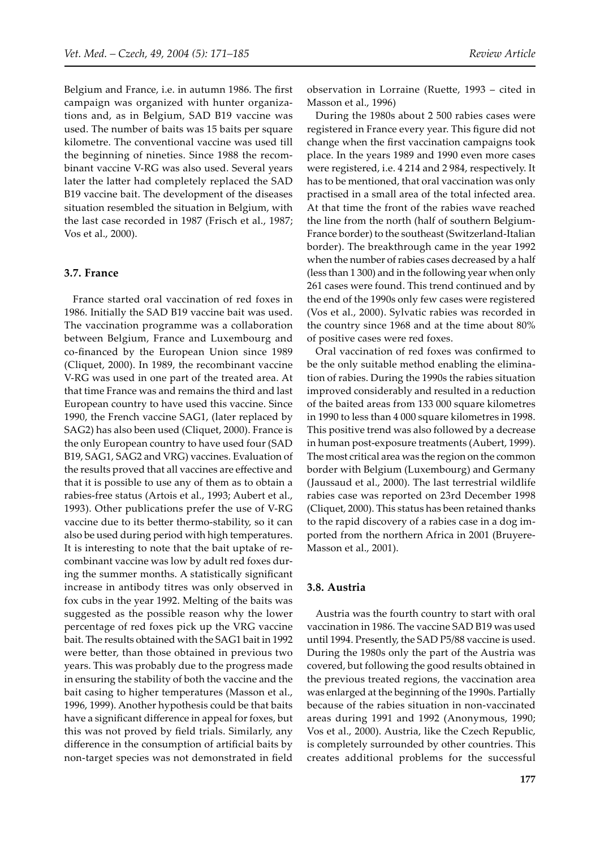Belgium and France, i.e. in autumn 1986. The first campaign was organized with hunter organizations and, as in Belgium, SAD B19 vaccine was used. The number of baits was 15 baits per square kilometre. The conventional vaccine was used till the beginning of nineties. Since 1988 the recombinant vaccine V-RG was also used. Several years later the latter had completely replaced the SAD B19 vaccine bait. The development of the diseases situation resembled the situation in Belgium, with the last case recorded in 1987 (Frisch et al., 1987; Vos et al., 2000).

#### **3.7. France**

France started oral vaccination of red foxes in 1986. Initially the SAD B19 vaccine bait was used. The vaccination programme was a collaboration between Belgium, France and Luxembourg and co-financed by the European Union since 1989 (Cliquet, 2000). In 1989, the recombinant vaccine V-RG was used in one part of the treated area. At that time France was and remains the third and last European country to have used this vaccine. Since 1990, the French vaccine SAG1, (later replaced by SAG2) has also been used (Cliquet, 2000). France is the only European country to have used four (SAD B19, SAG1, SAG2 and VRG) vaccines. Evaluation of the results proved that all vaccines are effective and that it is possible to use any of them as to obtain a rabies-free status (Artois et al., 1993; Aubert et al., 1993). Other publications prefer the use of V-RG vaccine due to its better thermo-stability, so it can also be used during period with high temperatures. It is interesting to note that the bait uptake of recombinant vaccine was low by adult red foxes during the summer months. A statistically significant increase in antibody titres was only observed in fox cubs in the year 1992. Melting of the baits was suggested as the possible reason why the lower percentage of red foxes pick up the VRG vaccine bait. The results obtained with the SAG1 bait in 1992 were better, than those obtained in previous two years. This was probably due to the progress made in ensuring the stability of both the vaccine and the bait casing to higher temperatures (Masson et al., 1996, 1999). Another hypothesis could be that baits have a significant difference in appeal for foxes, but this was not proved by field trials. Similarly, any difference in the consumption of artificial baits by non-target species was not demonstrated in field

observation in Lorraine (Rue�e, 1993 – cited in Masson et al., 1996)

During the 1980s about 2 500 rabies cases were registered in France every year. This figure did not change when the first vaccination campaigns took place. In the years 1989 and 1990 even more cases were registered, i.e. 4 214 and 2 984, respectively. It has to be mentioned, that oral vaccination was only practised in a small area of the total infected area. At that time the front of the rabies wave reached the line from the north (half of southern Belgium-France border) to the southeast (Switzerland-Italian border). The breakthrough came in the year 1992 when the number of rabies cases decreased by a half (less than 1 300) and in the following year when only 261 cases were found. This trend continued and by the end of the 1990s only few cases were registered (Vos et al., 2000). Sylvatic rabies was recorded in the country since 1968 and at the time about 80% of positive cases were red foxes.

Oral vaccination of red foxes was confirmed to be the only suitable method enabling the elimination of rabies. During the 1990s the rabies situation improved considerably and resulted in a reduction of the baited areas from 133 000 square kilometres in 1990 to less than 4 000 square kilometres in 1998. This positive trend was also followed by a decrease in human post-exposure treatments (Aubert, 1999). The most critical area was the region on the common border with Belgium (Luxembourg) and Germany (Jaussaud et al., 2000). The last terrestrial wildlife rabies case was reported on 23rd December 1998 (Cliquet, 2000). This status has been retained thanks to the rapid discovery of a rabies case in a dog imported from the northern Africa in 2001 (Bruyere-Masson et al., 2001).

#### **3.8. Austria**

Austria was the fourth country to start with oral vaccination in 1986. The vaccine SAD B19 was used until 1994. Presently, the SAD P5/88 vaccine is used. During the 1980s only the part of the Austria was covered, but following the good results obtained in the previous treated regions, the vaccination area was enlarged at the beginning of the 1990s. Partially because of the rabies situation in non-vaccinated areas during 1991 and 1992 (Anonymous, 1990; Vos et al., 2000). Austria, like the Czech Republic, is completely surrounded by other countries. This creates additional problems for the successful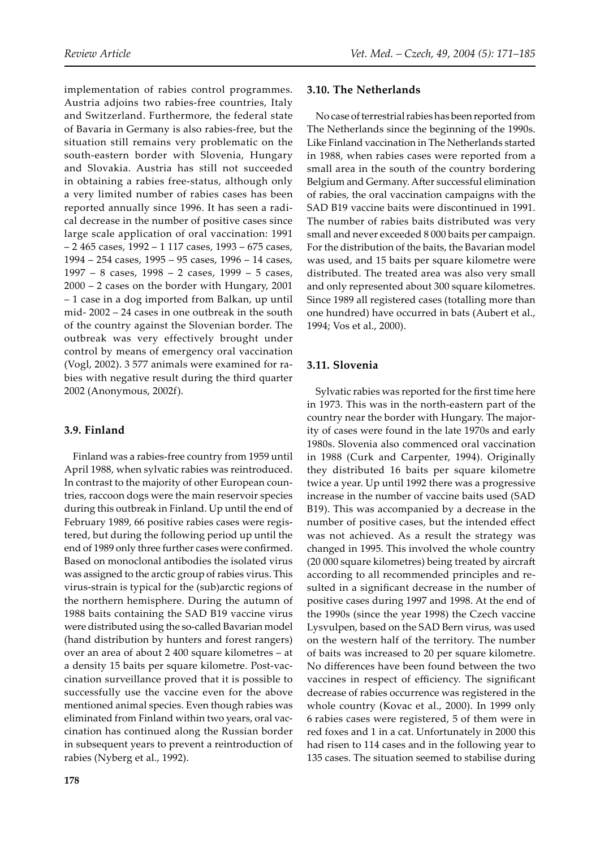implementation of rabies control programmes. Austria adjoins two rabies-free countries, Italy and Switzerland. Furthermore, the federal state of Bavaria in Germany is also rabies-free, but the situation still remains very problematic on the south-eastern border with Slovenia, Hungary and Slovakia. Austria has still not succeeded in obtaining a rabies free-status, although only a very limited number of rabies cases has been reported annually since 1996. It has seen a radical decrease in the number of positive cases since large scale application of oral vaccination: 1991 – 2 465 cases, 1992 – 1 117 cases, 1993 – 675 cases, 1994 – 254 cases, 1995 – 95 cases, 1996 – 14 cases, 1997 – 8 cases, 1998 – 2 cases, 1999 – 5 cases, 2000 – 2 cases on the border with Hungary, 2001 – 1 case in a dog imported from Balkan, up until mid- 2002 – 24 cases in one outbreak in the south of the country against the Slovenian border. The outbreak was very effectively brought under control by means of emergency oral vaccination (Vogl, 2002). 3 577 animals were examined for rabies with negative result during the third quarter 2002 (Anonymous, 2002f).

#### **3.9. Finland**

Finland was a rabies-free country from 1959 until April 1988, when sylvatic rabies was reintroduced. In contrast to the majority of other European countries, raccoon dogs were the main reservoir species during this outbreak in Finland. Up until the end of February 1989, 66 positive rabies cases were registered, but during the following period up until the end of 1989 only three further cases were confirmed. Based on monoclonal antibodies the isolated virus was assigned to the arctic group of rabies virus. This virus-strain is typical for the (sub)arctic regions of the northern hemisphere. During the autumn of 1988 baits containing the SAD B19 vaccine virus were distributed using the so-called Bavarian model (hand distribution by hunters and forest rangers) over an area of about 2 400 square kilometres – at a density 15 baits per square kilometre. Post-vaccination surveillance proved that it is possible to successfully use the vaccine even for the above mentioned animal species. Even though rabies was eliminated from Finland within two years, oral vaccination has continued along the Russian border in subsequent years to prevent a reintroduction of rabies (Nyberg et al., 1992).

#### **3.10. The Netherlands**

No case of terrestrial rabies has been reported from The Netherlands since the beginning of the 1990s. Like Finland vaccination in The Netherlands started in 1988, when rabies cases were reported from a small area in the south of the country bordering Belgium and Germany. After successful elimination of rabies, the oral vaccination campaigns with the SAD B19 vaccine baits were discontinued in 1991. The number of rabies baits distributed was very small and never exceeded 8 000 baits per campaign. For the distribution of the baits, the Bavarian model was used, and 15 baits per square kilometre were distributed. The treated area was also very small and only represented about 300 square kilometres. Since 1989 all registered cases (totalling more than one hundred) have occurred in bats (Aubert et al., 1994; Vos et al., 2000).

## **3.11. Slovenia**

Sylvatic rabies was reported for the first time here in 1973. This was in the north-eastern part of the country near the border with Hungary. The majority of cases were found in the late 1970s and early 1980s. Slovenia also commenced oral vaccination in 1988 (Curk and Carpenter, 1994). Originally they distributed 16 baits per square kilometre twice a year. Up until 1992 there was a progressive increase in the number of vaccine baits used (SAD B19). This was accompanied by a decrease in the number of positive cases, but the intended effect was not achieved. As a result the strategy was changed in 1995. This involved the whole country (20 000 square kilometres) being treated by aircraft according to all recommended principles and resulted in a significant decrease in the number of positive cases during 1997 and 1998. At the end of the 1990s (since the year 1998) the Czech vaccine Lysvulpen, based on the SAD Bern virus, was used on the western half of the territory. The number of baits was increased to 20 per square kilometre. No differences have been found between the two vaccines in respect of efficiency. The significant decrease of rabies occurrence was registered in the whole country (Kovac et al., 2000). In 1999 only 6 rabies cases were registered, 5 of them were in red foxes and 1 in a cat. Unfortunately in 2000 this had risen to 114 cases and in the following year to 135 cases. The situation seemed to stabilise during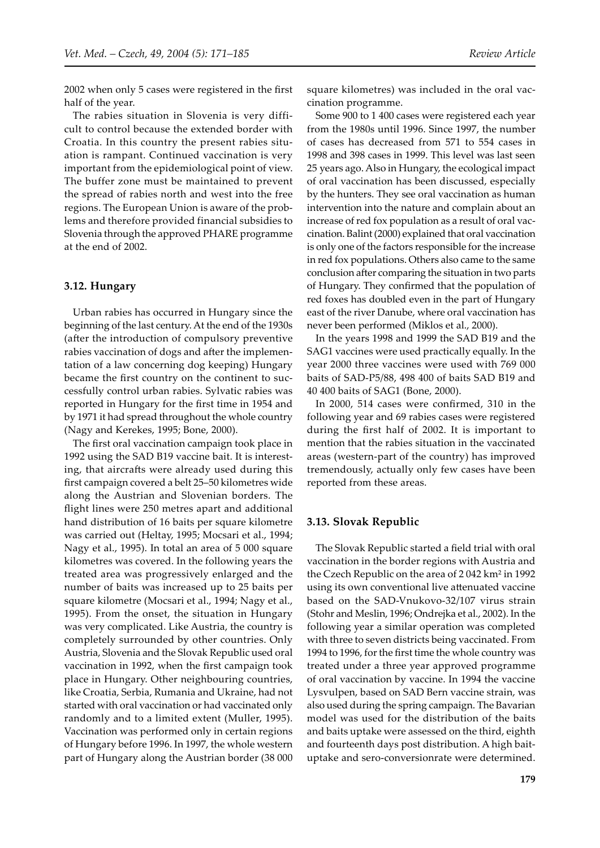2002 when only 5 cases were registered in the first half of the year.

The rabies situation in Slovenia is very difficult to control because the extended border with Croatia. In this country the present rabies situation is rampant. Continued vaccination is very important from the epidemiological point of view. The buffer zone must be maintained to prevent the spread of rabies north and west into the free regions. The European Union is aware of the problems and therefore provided financial subsidies to Slovenia through the approved PHARE programme at the end of 2002.

#### **3.12. Hungary**

Urban rabies has occurred in Hungary since the beginning of the last century. At the end of the 1930s (after the introduction of compulsory preventive rabies vaccination of dogs and after the implementation of a law concerning dog keeping) Hungary became the first country on the continent to successfully control urban rabies. Sylvatic rabies was reported in Hungary for the first time in 1954 and by 1971 it had spread throughout the whole country (Nagy and Kerekes, 1995; Bone, 2000).

The first oral vaccination campaign took place in 1992 using the SAD B19 vaccine bait. It is interesting, that aircrafts were already used during this first campaign covered a belt 25–50 kilometres wide along the Austrian and Slovenian borders. The flight lines were 250 metres apart and additional hand distribution of 16 baits per square kilometre was carried out (Heltay, 1995; Mocsari et al., 1994; Nagy et al., 1995). In total an area of 5 000 square kilometres was covered. In the following years the treated area was progressively enlarged and the number of baits was increased up to 25 baits per square kilometre (Mocsari et al., 1994; Nagy et al., 1995). From the onset, the situation in Hungary was very complicated. Like Austria, the country is completely surrounded by other countries. Only Austria, Slovenia and the Slovak Republic used oral vaccination in 1992, when the first campaign took place in Hungary. Other neighbouring countries, like Croatia, Serbia, Rumania and Ukraine, had not started with oral vaccination or had vaccinated only randomly and to a limited extent (Muller, 1995). Vaccination was performed only in certain regions of Hungary before 1996. In 1997, the whole western part of Hungary along the Austrian border (38 000 square kilometres) was included in the oral vaccination programme.

Some 900 to 1 400 cases were registered each year from the 1980s until 1996. Since 1997, the number of cases has decreased from 571 to 554 cases in 1998 and 398 cases in 1999. This level was last seen 25 years ago. Also in Hungary, the ecological impact of oral vaccination has been discussed, especially by the hunters. They see oral vaccination as human intervention into the nature and complain about an increase of red fox population as a result of oral vaccination. Balint (2000) explained that oral vaccination is only one of the factors responsible for the increase in red fox populations. Others also came to the same conclusion a�er comparing the situation in two parts of Hungary. They confirmed that the population of red foxes has doubled even in the part of Hungary east of the river Danube, where oral vaccination has never been performed (Miklos et al., 2000).

In the years 1998 and 1999 the SAD B19 and the SAG1 vaccines were used practically equally. In the year 2000 three vaccines were used with 769 000 baits of SAD-P5/88, 498 400 of baits SAD B19 and 40 400 baits of SAG1 (Bone, 2000).

In 2000, 514 cases were confirmed, 310 in the following year and 69 rabies cases were registered during the first half of 2002. It is important to mention that the rabies situation in the vaccinated areas (western-part of the country) has improved tremendously, actually only few cases have been reported from these areas.

#### **3.13. Slovak Republic**

The Slovak Republic started a field trial with oral vaccination in the border regions with Austria and the Czech Republic on the area of 2 042 km² in 1992 using its own conventional live attenuated vaccine based on the SAD-Vnukovo-32/107 virus strain (Stohr and Meslin, 1996; Ondrejka et al., 2002). In the following year a similar operation was completed with three to seven districts being vaccinated. From 1994 to 1996, for the first time the whole country was treated under a three year approved programme of oral vaccination by vaccine. In 1994 the vaccine Lysvulpen, based on SAD Bern vaccine strain, was also used during the spring campaign. The Bavarian model was used for the distribution of the baits and baits uptake were assessed on the third, eighth and fourteenth days post distribution. A high baituptake and sero-conversionrate were determined.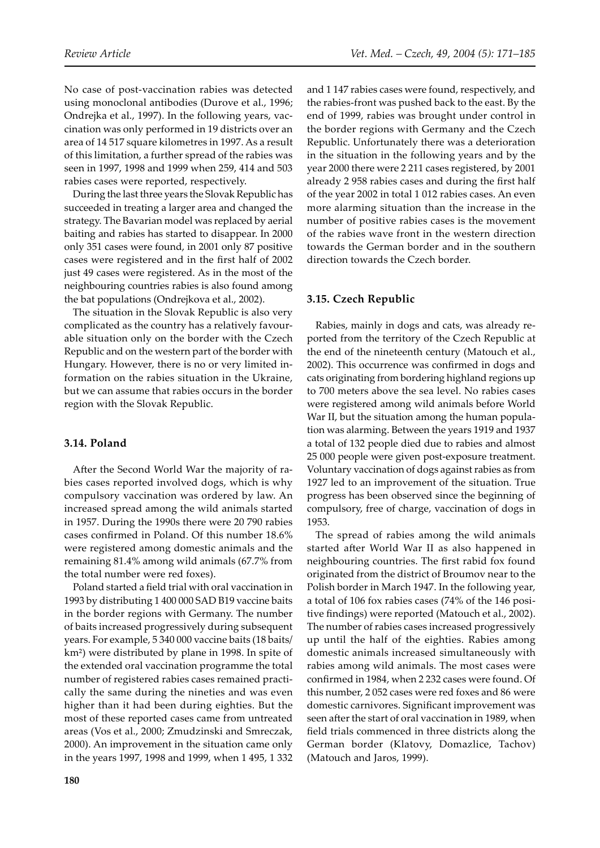No case of post-vaccination rabies was detected using monoclonal antibodies (Durove et al., 1996; Ondrejka et al., 1997). In the following years, vaccination was only performed in 19 districts over an area of 14 517 square kilometres in 1997. As a result of this limitation, a further spread of the rabies was seen in 1997, 1998 and 1999 when 259, 414 and 503 rabies cases were reported, respectively.

During the last three years the Slovak Republic has succeeded in treating a larger area and changed the strategy. The Bavarian model was replaced by aerial baiting and rabies has started to disappear. In 2000 only 351 cases were found, in 2001 only 87 positive cases were registered and in the first half of 2002 just 49 cases were registered. As in the most of the neighbouring countries rabies is also found among the bat populations (Ondrejkova et al., 2002).

The situation in the Slovak Republic is also very complicated as the country has a relatively favourable situation only on the border with the Czech Republic and on the western part of the border with Hungary. However, there is no or very limited information on the rabies situation in the Ukraine, but we can assume that rabies occurs in the border region with the Slovak Republic.

## **3.14. Poland**

After the Second World War the majority of rabies cases reported involved dogs, which is why compulsory vaccination was ordered by law. An increased spread among the wild animals started in 1957. During the 1990s there were 20 790 rabies cases confirmed in Poland. Of this number 18.6% were registered among domestic animals and the remaining 81.4% among wild animals (67.7% from the total number were red foxes).

Poland started a field trial with oral vaccination in 1993 by distributing 1 400 000 SAD B19 vaccine baits in the border regions with Germany. The number of baits increased progressively during subsequent years. For example, 5 340 000 vaccine baits (18 baits/ km²) were distributed by plane in 1998. In spite of the extended oral vaccination programme the total number of registered rabies cases remained practically the same during the nineties and was even higher than it had been during eighties. But the most of these reported cases came from untreated areas (Vos et al., 2000; Zmudzinski and Smreczak, 2000). An improvement in the situation came only in the years 1997, 1998 and 1999, when 1 495, 1 332

and 1 147 rabies cases were found, respectively, and the rabies-front was pushed back to the east. By the end of 1999, rabies was brought under control in the border regions with Germany and the Czech Republic. Unfortunately there was a deterioration in the situation in the following years and by the year 2000 there were 2 211 cases registered, by 2001 already 2 958 rabies cases and during the first half of the year 2002 in total 1 012 rabies cases. An even more alarming situation than the increase in the number of positive rabies cases is the movement of the rabies wave front in the western direction towards the German border and in the southern direction towards the Czech border.

## **3.15. Czech Republic**

Rabies, mainly in dogs and cats, was already reported from the territory of the Czech Republic at the end of the nineteenth century (Matouch et al., 2002). This occurrence was confirmed in dogs and cats originating from bordering highland regions up to 700 meters above the sea level. No rabies cases were registered among wild animals before World War II, but the situation among the human population was alarming. Between the years 1919 and 1937 a total of 132 people died due to rabies and almost 25 000 people were given post-exposure treatment. Voluntary vaccination of dogs against rabies as from 1927 led to an improvement of the situation. True progress has been observed since the beginning of compulsory, free of charge, vaccination of dogs in 1953.

The spread of rabies among the wild animals started after World War II as also happened in neighbouring countries. The first rabid fox found originated from the district of Broumov near to the Polish border in March 1947. In the following year, a total of 106 fox rabies cases (74% of the 146 positive findings) were reported (Matouch et al., 2002). The number of rabies cases increased progressively up until the half of the eighties. Rabies among domestic animals increased simultaneously with rabies among wild animals. The most cases were confirmed in 1984, when 2 232 cases were found. Of this number, 2 052 cases were red foxes and 86 were domestic carnivores. Significant improvement was seen after the start of oral vaccination in 1989, when field trials commenced in three districts along the German border (Klatovy, Domazlice, Tachov) (Matouch and Jaros, 1999).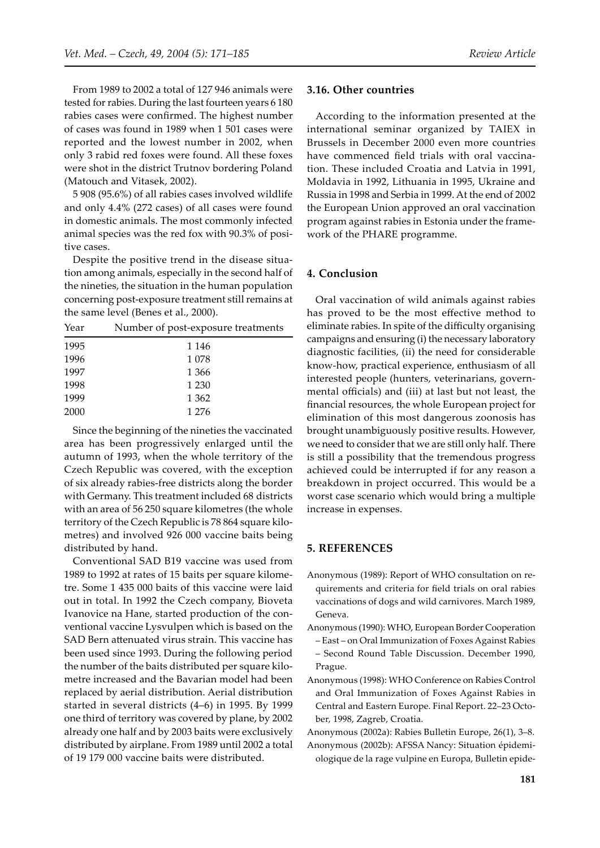From 1989 to 2002 a total of 127 946 animals were tested for rabies. During the last fourteen years 6 180 rabies cases were confirmed. The highest number of cases was found in 1989 when 1 501 cases were reported and the lowest number in 2002, when only 3 rabid red foxes were found. All these foxes were shot in the district Trutnov bordering Poland (Matouch and Vitasek, 2002).

5 908 (95.6%) of all rabies cases involved wildlife and only 4.4% (272 cases) of all cases were found in domestic animals. The most commonly infected animal species was the red fox with 90.3% of positive cases.

Despite the positive trend in the disease situation among animals, especially in the second half of the nineties, the situation in the human population concerning post-exposure treatment still remains at the same level (Benes et al., 2000).

| Year | Number of post-exposure treatments |  |
|------|------------------------------------|--|
| 1995 | 1 1 4 6                            |  |
| 1996 | 1078                               |  |
| 1997 | 1 3 6 6                            |  |
| 1998 | 1 2 3 0                            |  |
| 1999 | 1 3 6 2                            |  |
| 2000 | 1 2 7 6                            |  |

Since the beginning of the nineties the vaccinated area has been progressively enlarged until the autumn of 1993, when the whole territory of the Czech Republic was covered, with the exception of six already rabies-free districts along the border with Germany. This treatment included 68 districts with an area of 56 250 square kilometres (the whole territory of the Czech Republic is 78 864 square kilometres) and involved 926 000 vaccine baits being distributed by hand.

Conventional SAD B19 vaccine was used from 1989 to 1992 at rates of 15 baits per square kilometre. Some 1 435 000 baits of this vaccine were laid out in total. In 1992 the Czech company, Bioveta Ivanovice na Hane, started production of the conventional vaccine Lysvulpen which is based on the SAD Bern attenuated virus strain. This vaccine has been used since 1993. During the following period the number of the baits distributed per square kilometre increased and the Bavarian model had been replaced by aerial distribution. Aerial distribution started in several districts (4–6) in 1995. By 1999 one third of territory was covered by plane, by 2002 already one half and by 2003 baits were exclusively distributed by airplane. From 1989 until 2002 a total of 19 179 000 vaccine baits were distributed.

#### **3.16. Other countries**

According to the information presented at the international seminar organized by TAIEX in Brussels in December 2000 even more countries have commenced field trials with oral vaccination. These included Croatia and Latvia in 1991, Moldavia in 1992, Lithuania in 1995, Ukraine and Russia in 1998 and Serbia in 1999. At the end of 2002 the European Union approved an oral vaccination program against rabies in Estonia under the framework of the PHARE programme.

#### **4. Conclusion**

Oral vaccination of wild animals against rabies has proved to be the most effective method to eliminate rabies. In spite of the difficulty organising campaigns and ensuring (i) the necessary laboratory diagnostic facilities, (ii) the need for considerable know-how, practical experience, enthusiasm of all interested people (hunters, veterinarians, governmental officials) and (iii) at last but not least, the financial resources, the whole European project for elimination of this most dangerous zoonosis has brought unambiguously positive results. However, we need to consider that we are still only half. There is still a possibility that the tremendous progress achieved could be interrupted if for any reason a breakdown in project occurred. This would be a worst case scenario which would bring a multiple increase in expenses.

#### **5. REFERENCES**

- Anonymous (1989): Report of WHO consultation on requirements and criteria for field trials on oral rabies vaccinations of dogs and wild carnivores. March 1989, Geneva.
- Anonymous (1990): WHO, European Border Cooperation
- East on Oral Immunization of Foxes Against Rabies – Second Round Table Discussion. December 1990, Prague.
- Anonymous (1998): WHO Conference on Rabies Control and Oral Immunization of Foxes Against Rabies in Central and Eastern Europe. Final Report. 22–23 October, 1998, Zagreb, Croatia.

Anonymous (2002a): Rabies Bulletin Europe, 26(1), 3–8.

Anonymous (2002b): AFSSA Nancy: Situation épidemiologique de la rage vulpine en Europa, Bulletin epide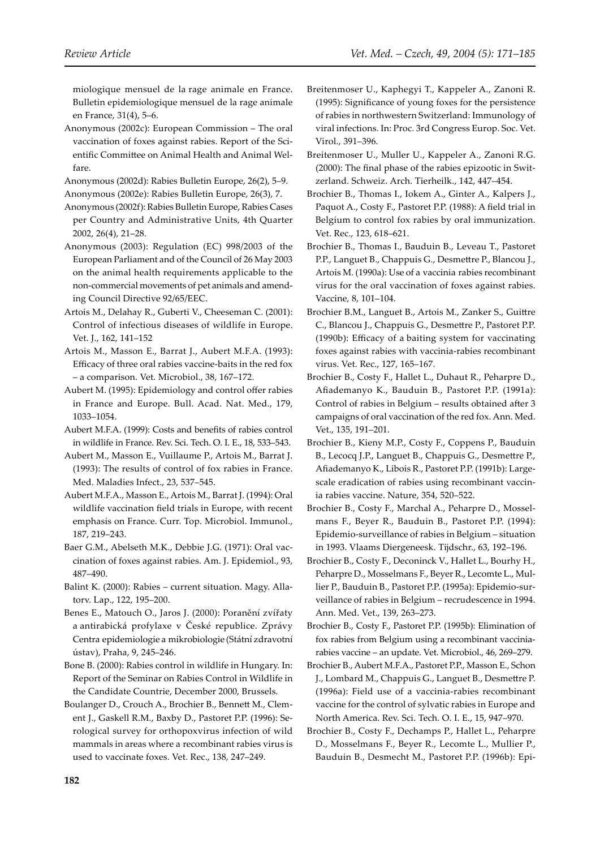miologique mensuel de la rage animale en France. Bulletin epidemiologique mensuel de la rage animale en France, 31(4), 5–6.

Anonymous (2002c): European Commission – The oral vaccination of foxes against rabies. Report of the Scientific Committee on Animal Health and Animal Welfare.

Anonymous (2002d): Rabies Bulletin Europe, 26(2), 5–9. Anonymous (2002e): Rabies Bulletin Europe, 26(3), 7.

- Anonymous (2002f): Rabies Bulletin Europe, Rabies Cases per Country and Administrative Units, 4th Quarter 2002, 26(4), 21–28.
- Anonymous (2003): Regulation (EC) 998/2003 of the European Parliament and of the Council of 26 May 2003 on the animal health requirements applicable to the non-commercial movements of pet animals and amending Council Directive 92/65/EEC.
- Artois M., Delahay R., Guberti V., Cheeseman C. (2001): Control of infectious diseases of wildlife in Europe. Vet. J., 162, 141–152
- Artois M., Masson E., Barrat J., Aubert M.F.A. (1993): Efficacy of three oral rabies vaccine-baits in the red fox – a comparison. Vet. Microbiol., 38, 167–172.
- Aubert M. (1995): Epidemiology and control offer rabies in France and Europe. Bull. Acad. Nat. Med., 179, 1033–1054.
- Aubert M.F.A. (1999): Costs and benefits of rabies control in wildlife in France. Rev. Sci. Tech. O. I. E., 18, 533–543.
- Aubert M., Masson E., Vuillaume P., Artois M., Barrat J. (1993): The results of control of fox rabies in France. Med. Maladies Infect., 23, 537–545.
- Aubert M.F.A., Masson E., Artois M., Barrat J. (1994): Oral wildlife vaccination field trials in Europe, with recent emphasis on France. Curr. Top. Microbiol. Immunol., 187, 219–243.
- Baer G.M., Abelseth M.K., Debbie J.G. (1971): Oral vaccination of foxes against rabies. Am. J. Epidemiol., 93, 487–490.
- Balint K. (2000): Rabies current situation. Magy. Allatorv. Lap., 122, 195–200.
- Benes E., Matouch O., Jaros J. (2000): Poranění zvířaty a antirabická profylaxe v České republice. Zprávy Centra epidemiologie a mikrobiologie (Státní zdravotní ústav), Praha, 9, 245–246.

Bone B. (2000): Rabies control in wildlife in Hungary. In: Report of the Seminar on Rabies Control in Wildlife in the Candidate Countrie, December 2000, Brussels.

Boulanger D., Crouch A., Brochier B., Bennett M., Clement J., Gaskell R.M., Baxby D., Pastoret P.P. (1996): Serological survey for orthopoxvirus infection of wild mammals in areas where a recombinant rabies virus is used to vaccinate foxes. Vet. Rec., 138, 247–249.

- Breitenmoser U., Kaphegyi T., Kappeler A., Zanoni R. (1995): Significance of young foxes for the persistence of rabies in northwestern Switzerland: Immunology of viral infections. In: Proc. 3rd Congress Europ. Soc. Vet. Virol., 391–396.
- Breitenmoser U., Muller U., Kappeler A., Zanoni R.G. (2000): The final phase of the rabies epizootic in Switzerland. Schweiz. Arch. Tierheilk., 142, 447–454.
- Brochier B., Thomas I., Iokem A., Ginter A., Kalpers J., Paquot A., Costy F., Pastoret P.P. (1988): A field trial in Belgium to control fox rabies by oral immunization. Vet. Rec., 123, 618–621.
- Brochier B., Thomas I., Bauduin B., Leveau T., Pastoret P.P., Languet B., Chappuis G., Desmettre P., Blancou J., Artois M. (1990a): Use of a vaccinia rabies recombinant virus for the oral vaccination of foxes against rabies. Vaccine, 8, 101–104.
- Brochier B.M., Languet B., Artois M., Zanker S., Guittre C., Blancou J., Chappuis G., Desme�re P., Pastoret P.P. (1990b): Efficacy of a baiting system for vaccinating foxes against rabies with vaccinia-rabies recombinant virus. Vet. Rec., 127, 165–167.
- Brochier B., Costy F., Hallet L., Duhaut R., Peharpre D., Afiademanyo K., Bauduin B., Pastoret P.P. (1991a): Control of rabies in Belgium – results obtained after 3 campaigns of oral vaccination of the red fox. Ann. Med. Vet., 135, 191–201.
- Brochier B., Kieny M.P., Costy F., Coppens P., Bauduin B., Lecocq J.P., Languet B., Chappuis G., Desmettre P., Afiademanyo K., Libois R., Pastoret P.P. (1991b): Largescale eradication of rabies using recombinant vaccinia rabies vaccine. Nature, 354, 520–522.
- Brochier B., Costy F., Marchal A., Peharpre D., Mosselmans F., Beyer R., Bauduin B., Pastoret P.P. (1994): Epidemio-surveillance of rabies in Belgium – situation in 1993. Vlaams Diergeneesk. Tijdschr., 63, 192–196.
- Brochier B., Costy F., Deconinck V., Hallet L., Bourhy H., Peharpre D., Mosselmans F., Beyer R., Lecomte L., Mullier P., Bauduin B., Pastoret P.P. (1995a): Epidemio-surveillance of rabies in Belgium – recrudescence in 1994. Ann. Med. Vet., 139, 263–273.

Brochier B., Costy F., Pastoret P.P. (1995b): Elimination of fox rabies from Belgium using a recombinant vacciniarabies vaccine – an update. Vet. Microbiol., 46, 269–279.

- Brochier B., Aubert M.F.A., Pastoret P.P., Masson E., Schon J., Lombard M., Chappuis G., Languet B., Desme�re P. (1996a): Field use of a vaccinia-rabies recombinant vaccine for the control of sylvatic rabies in Europe and North America. Rev. Sci. Tech. O. I. E., 15, 947–970.
- Brochier B., Costy F., Dechamps P., Hallet L., Peharpre D., Mosselmans F., Beyer R., Lecomte L., Mullier P., Bauduin B., Desmecht M., Pastoret P.P. (1996b): Epi-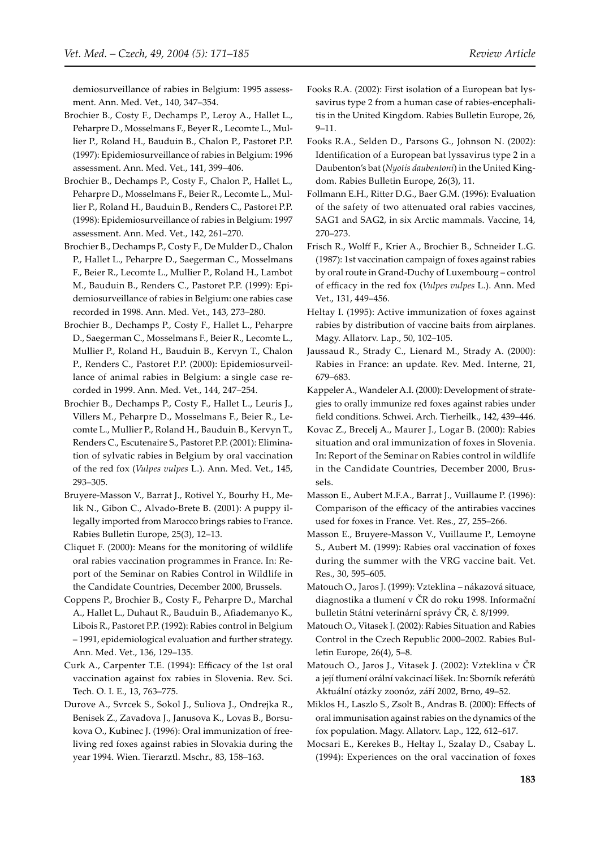demiosurveillance of rabies in Belgium: 1995 assessment. Ann. Med. Vet., 140, 347–354.

- Brochier B., Costy F., Dechamps P., Leroy A., Hallet L., Peharpre D., Mosselmans F., Beyer R., Lecomte L., Mullier P., Roland H., Bauduin B., Chalon P., Pastoret P.P. (1997): Epidemiosurveillance of rabies in Belgium: 1996 assessment. Ann. Med. Vet., 141, 399–406.
- Brochier B., Dechamps P., Costy F., Chalon P., Hallet L., Peharpre D., Mosselmans F., Beier R., Lecomte L., Mullier P., Roland H., Bauduin B., Renders C., Pastoret P.P. (1998): Epidemiosurveillance of rabies in Belgium: 1997 assessment. Ann. Med. Vet., 142, 261–270.
- Brochier B., Dechamps P., Costy F., De Mulder D., Chalon P., Hallet L., Peharpre D., Saegerman C., Mosselmans F., Beier R., Lecomte L., Mullier P., Roland H., Lambot M., Bauduin B., Renders C., Pastoret P.P. (1999): Epidemiosurveillance of rabies in Belgium: one rabies case recorded in 1998. Ann. Med. Vet., 143, 273–280.
- Brochier B., Dechamps P., Costy F., Hallet L., Peharpre D., Saegerman C., Mosselmans F., Beier R., Lecomte L., Mullier P., Roland H., Bauduin B., Kervyn T., Chalon P., Renders C., Pastoret P.P. (2000): Epidemiosurveillance of animal rabies in Belgium: a single case recorded in 1999. Ann. Med. Vet., 144, 247–254.
- Brochier B., Dechamps P., Costy F., Hallet L., Leuris J., Villers M., Peharpre D., Mosselmans F., Beier R., Lecomte L., Mullier P., Roland H., Bauduin B., Kervyn T., Renders C., Escutenaire S., Pastoret P.P. (2001): Elimination of sylvatic rabies in Belgium by oral vaccination of the red fox (*Vulpes vulpes* L.). Ann. Med. Vet., 145, 293–305.
- Bruyere-Masson V., Barrat J., Rotivel Y., Bourhy H., Melik N., Gibon C., Alvado-Brete B. (2001): A puppy illegally imported from Marocco brings rabies to France. Rabies Bulletin Europe, 25(3), 12–13.
- Cliquet F. (2000): Means for the monitoring of wildlife oral rabies vaccination programmes in France. In: Report of the Seminar on Rabies Control in Wildlife in the Candidate Countries, December 2000, Brussels.
- Coppens P., Brochier B., Costy F., Peharpre D., Marchal A., Hallet L., Duhaut R., Bauduin B., Afiademanyo K., Libois R., Pastoret P.P. (1992): Rabies control in Belgium – 1991, epidemiological evaluation and further strategy. Ann. Med. Vet., 136, 129–135.
- Curk A., Carpenter T.E. (1994): Efficacy of the 1st oral vaccination against fox rabies in Slovenia. Rev. Sci. Tech. O. I. E., 13, 763–775.
- Durove A., Svrcek S., Sokol J., Suliova J., Ondrejka R., Benisek Z., Zavadova J., Janusova K., Lovas B., Borsukova O., Kubinec J. (1996): Oral immunization of freeliving red foxes against rabies in Slovakia during the year 1994. Wien. Tierarztl. Mschr., 83, 158–163.
- Fooks R.A. (2002): First isolation of a European bat lyssavirus type 2 from a human case of rabies-encephalitis in the United Kingdom. Rabies Bulletin Europe, 26, 9–11.
- Fooks R.A., Selden D., Parsons G., Johnson N. (2002): Identification of a European bat lyssavirus type 2 in a Daubenton's bat (*Nyotis daubentoni*) in the United Kingdom. Rabies Bulletin Europe, 26(3), 11.
- Follmann E.H., Ritter D.G., Baer G.M. (1996): Evaluation of the safety of two attenuated oral rabies vaccines, SAG1 and SAG2, in six Arctic mammals. Vaccine, 14, 270–273.
- Frisch R., Wolff F., Krier A., Brochier B., Schneider L.G. (1987): 1st vaccination campaign of foxes against rabies by oral route in Grand-Duchy of Luxembourg – control of efficacy in the red fox (*Vulpes vulpes* L.). Ann. Med Vet., 131, 449–456.
- Heltay I. (1995): Active immunization of foxes against rabies by distribution of vaccine baits from airplanes. Magy. Allatorv. Lap., 50, 102–105.
- Jaussaud R., Strady C., Lienard M., Strady A. (2000): Rabies in France: an update. Rev. Med. Interne, 21, 679–683.
- Kappeler A., Wandeler A.I. (2000): Development of strategies to orally immunize red foxes against rabies under field conditions. Schwei. Arch. Tierheilk., 142, 439–446.
- Kovac Z., Brecelj A., Maurer J., Logar B. (2000): Rabies situation and oral immunization of foxes in Slovenia. In: Report of the Seminar on Rabies control in wildlife in the Candidate Countries, December 2000, Brussels.
- Masson E., Aubert M.F.A., Barrat J., Vuillaume P. (1996): Comparison of the efficacy of the antirabies vaccines used for foxes in France. Vet. Res., 27, 255–266.
- Masson E., Bruyere-Masson V., Vuillaume P., Lemoyne S., Aubert M. (1999): Rabies oral vaccination of foxes during the summer with the VRG vaccine bait. Vet. Res., 30, 595–605.
- Matouch O., Jaros J. (1999): Vzteklina nákazová situace, diagnostika a tlumení v ČR do roku 1998. Informační bulletin Státní veterinární správy ČR, č. 8/1999.
- Matouch O., Vitasek J. (2002): Rabies Situation and Rabies Control in the Czech Republic 2000–2002. Rabies Bulletin Europe, 26(4), 5–8.
- Matouch O., Jaros J., Vitasek J. (2002): Vzteklina v ČR a její tlumení orální vakcinací lišek. In: Sborník referátů Aktuální otázky zoonóz, září 2002, Brno, 49–52.
- Miklos H., Laszlo S., Zsolt B., Andras B. (2000): Effects of oral immunisation against rabies on the dynamics of the fox population. Magy. Allatorv. Lap., 122, 612–617.
- Mocsari E., Kerekes B., Heltay I., Szalay D., Csabay L. (1994): Experiences on the oral vaccination of foxes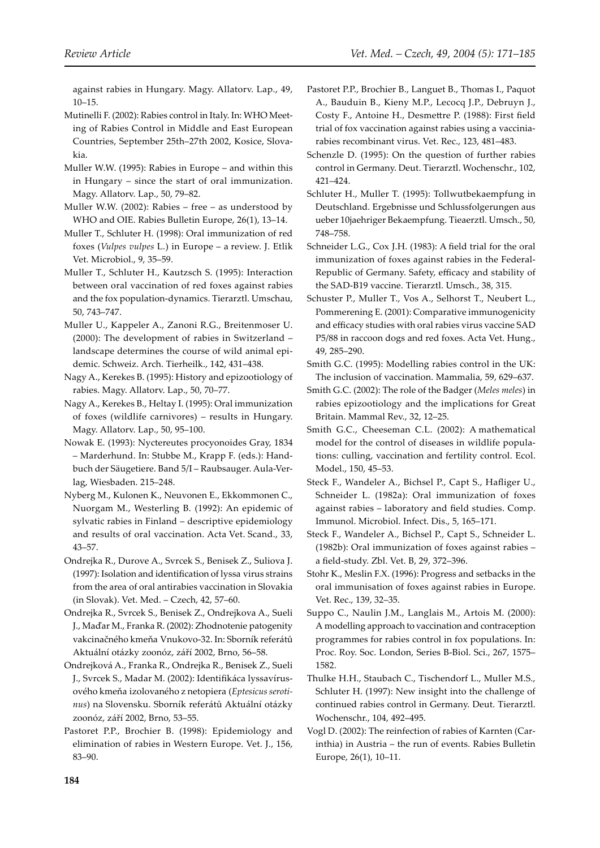against rabies in Hungary. Magy. Allatorv. Lap., 49, 10–15.

- Mutinelli F. (2002): Rabies control in Italy. In: WHO Meeting of Rabies Control in Middle and East European Countries, September 25th–27th 2002, Kosice, Slovakia.
- Muller W.W. (1995): Rabies in Europe and within this in Hungary – since the start of oral immunization. Magy. Allatorv. Lap., 50, 79–82.
- Muller W.W. (2002): Rabies free as understood by WHO and OIE. Rabies Bulletin Europe, 26(1), 13–14.
- Muller T., Schluter H. (1998): Oral immunization of red foxes (*Vulpes vulpes* L.) in Europe – a review. J. Etlik Vet. Microbiol., 9, 35–59.
- Muller T., Schluter H., Kautzsch S. (1995): Interaction between oral vaccination of red foxes against rabies and the fox population-dynamics. Tierarztl. Umschau, 50, 743–747.
- Muller U., Kappeler A., Zanoni R.G., Breitenmoser U. (2000): The development of rabies in Switzerland – landscape determines the course of wild animal epidemic. Schweiz. Arch. Tierheilk., 142, 431–438.
- Nagy A., Kerekes B. (1995): History and epizootiology of rabies. Magy. Allatorv. Lap., 50, 70–77.
- Nagy A., Kerekes B., Heltay I. (1995): Oral immunization of foxes (wildlife carnivores) – results in Hungary. Magy. Allatorv. Lap., 50, 95–100.
- Nowak E. (1993): Nyctereutes procyonoides Gray, 1834 – Marderhund. In: Stubbe M., Krapp F. (eds.): Handbuch der Säugetiere. Band 5/I – Raubsauger. Aula-Verlag, Wiesbaden. 215–248.
- Nyberg M., Kulonen K., Neuvonen E., Ekkommonen C., Nuorgam M., Westerling B. (1992): An epidemic of sylvatic rabies in Finland – descriptive epidemiology and results of oral vaccination. Acta Vet. Scand., 33, 43–57.
- Ondrejka R., Durove A., Svrcek S., Benisek Z., Suliova J. (1997): Isolation and identification of lyssa virus strains from the area of oral antirabies vaccination in Slovakia (in Slovak). Vet. Med. – Czech, 42, 57–60.
- Ondrejka R., Svrcek S., Benisek Z., Ondrejkova A., Sueli J., Maďar M., Franka R. (2002): Zhodnotenie patogenity vakcinačného kmeňa Vnukovo-32. In: Sborník referátů Aktuální otázky zoonóz, září 2002, Brno, 56–58.
- Ondrejková A., Franka R., Ondrejka R., Benisek Z., Sueli J., Svrcek S., Madar M. (2002): Identifikáca lyssavírusového kmeňa izolovaného z netopiera (*Eptesicus serotinus*) na Slovensku. Sborník referátů Aktuální otázky zoonóz, září 2002, Brno, 53–55.
- Pastoret P.P., Brochier B. (1998): Epidemiology and elimination of rabies in Western Europe. Vet. J., 156, 83–90.
- Pastoret P.P., Brochier B., Languet B., Thomas I., Paquot A., Bauduin B., Kieny M.P., Lecocq J.P., Debruyn J., Costy F., Antoine H., Desme�re P. (1988): First field trial of fox vaccination against rabies using a vacciniarabies recombinant virus. Vet. Rec., 123, 481–483.
- Schenzle D. (1995): On the question of further rabies control in Germany. Deut. Tierarztl. Wochenschr., 102, 421–424.
- Schluter H., Muller T. (1995): Tollwutbekaempfung in Deutschland. Ergebnisse und Schlussfolgerungen aus ueber 10jaehriger Bekaempfung. Tieaerztl. Umsch., 50, 748–758.
- Schneider L.G., Cox J.H. (1983): A field trial for the oral immunization of foxes against rabies in the Federal-Republic of Germany. Safety, efficacy and stability of the SAD-B19 vaccine. Tierarztl. Umsch., 38, 315.
- Schuster P., Muller T., Vos A., Selhorst T., Neubert L., Pommerening E. (2001): Comparative immunogenicity and efficacy studies with oral rabies virus vaccine SAD P5/88 in raccoon dogs and red foxes. Acta Vet. Hung., 49, 285–290.
- Smith G.C. (1995): Modelling rabies control in the UK: The inclusion of vaccination. Mammalia, 59, 629–637.
- Smith G.C. (2002): The role of the Badger (*Meles meles*) in rabies epizootiology and the implications for Great Britain. Mammal Rev., 32, 12–25.
- Smith G.C., Cheeseman C.L. (2002): A mathematical model for the control of diseases in wildlife populations: culling, vaccination and fertility control. Ecol. Model., 150, 45–53.
- Steck F., Wandeler A., Bichsel P., Capt S., Hafliger U., Schneider L. (1982a): Oral immunization of foxes against rabies – laboratory and field studies. Comp. Immunol. Microbiol. Infect. Dis., 5, 165–171.
- Steck F., Wandeler A., Bichsel P., Capt S., Schneider L. (1982b): Oral immunization of foxes against rabies – a field-study. Zbl. Vet. B, 29, 372–396.
- Stohr K., Meslin F.X. (1996): Progress and setbacks in the oral immunisation of foxes against rabies in Europe. Vet. Rec., 139, 32–35.
- Suppo C., Naulin J.M., Langlais M., Artois M. (2000): A modelling approach to vaccination and contraception programmes for rabies control in fox populations. In: Proc. Roy. Soc. London, Series B-Biol. Sci., 267, 1575– 1582.
- Thulke H.H., Staubach C., Tischendorf L., Muller M.S., Schluter H. (1997): New insight into the challenge of continued rabies control in Germany. Deut. Tierarztl. Wochenschr., 104, 492–495.
- Vogl D. (2002): The reinfection of rabies of Karnten (Carinthia) in Austria – the run of events. Rabies Bulletin Europe, 26(1), 10–11.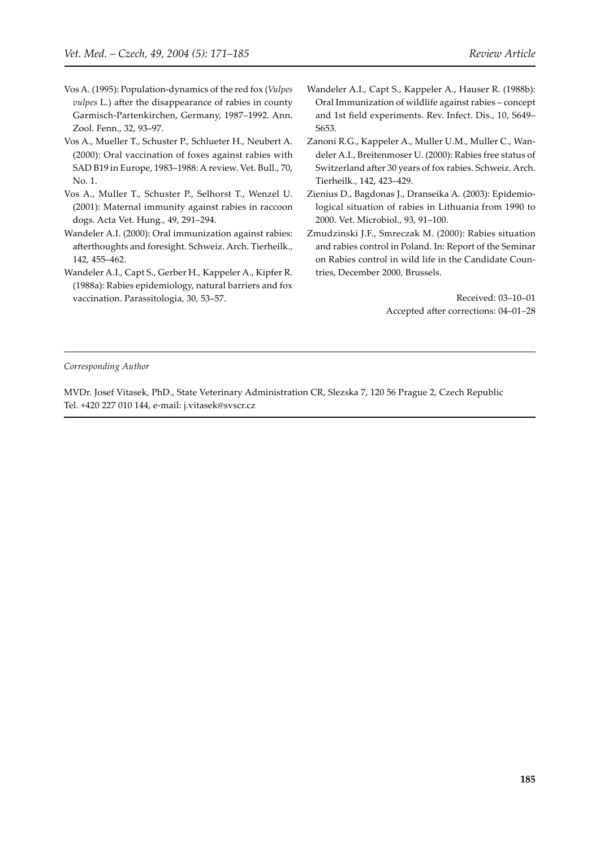- Vos A. (1995): Population-dynamics of the red fox (*Vulpes vulpes* L.) after the disappearance of rabies in county Garmisch-Partenkirchen, Germany, 1987–1992. Ann. Zool. Fenn., 32, 93–97.
- Vos A., Mueller T., Schuster P., Schlueter H., Neubert A. (2000): Oral vaccination of foxes against rabies with SAD B19 in Europe, 1983–1988: A review. Vet. Bull., 70, No. 1.
- Vos A., Muller T., Schuster P., Selhorst T., Wenzel U. (2001): Maternal immunity against rabies in raccoon dogs. Acta Vet. Hung., 49, 291–294.
- Wandeler A.I. (2000): Oral immunization against rabies: afterthoughts and foresight. Schweiz. Arch. Tierheilk., 142, 455–462.
- Wandeler A.I., Capt S., Gerber H., Kappeler A., Kipfer R. (1988a): Rabies epidemiology, natural barriers and fox vaccination. Parassitologia, 30, 53–57.
- Wandeler A.I., Capt S., Kappeler A., Hauser R. (1988b): Oral Immunization of wildlife against rabies – concept and 1st field experiments. Rev. Infect. Dis., 10, S649– S653.
- Zanoni R.G., Kappeler A., Muller U.M., Muller C., Wandeler A.I., Breitenmoser U. (2000): Rabies free status of Switzerland after 30 years of fox rabies. Schweiz. Arch. Tierheilk., 142, 423–429.
- Zienius D., Bagdonas J., Dranseika A. (2003): Epidemiological situation of rabies in Lithuania from 1990 to 2000. Vet. Microbiol., 93, 91–100.
- Zmudzinski J.F., Smreczak M. (2000): Rabies situation and rabies control in Poland. In: Report of the Seminar on Rabies control in wild life in the Candidate Countries, December 2000, Brussels.

Received: 03–10–01 Accepted after corrections: 04-01-28

*Corresponding Author*

MVDr. Josef Vitasek, PhD., State Veterinary Administration CR, Slezska 7, 120 56 Prague 2, Czech Republic Tel. +420 227 010 144, e-mail: j.vitasek@svscr.cz